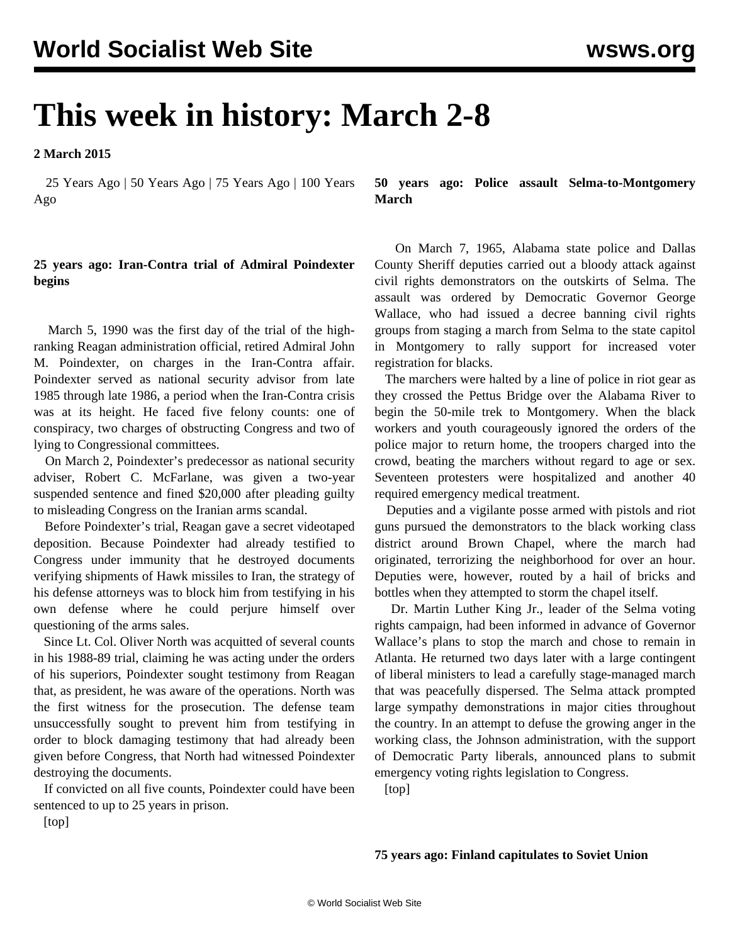## **This week in history: March 2-8**

**2 March 2015**

 25 Years Ago | 50 Years Ago | 75 Years Ago | 100 Years Ago

## **25 years ago: Iran-Contra trial of Admiral Poindexter begins**

 March 5, 1990 was the first day of the trial of the highranking Reagan administration official, retired Admiral John M. Poindexter, on charges in the Iran-Contra affair. Poindexter served as national security advisor from late 1985 through late 1986, a period when the Iran-Contra crisis was at its height. He faced five felony counts: one of conspiracy, two charges of obstructing Congress and two of lying to Congressional committees.

 On March 2, Poindexter's predecessor as national security adviser, Robert C. McFarlane, was given a two-year suspended sentence and fined \$20,000 after pleading guilty to misleading Congress on the Iranian arms scandal.

 Before Poindexter's trial, Reagan gave a secret videotaped deposition. Because Poindexter had already testified to Congress under immunity that he destroyed documents verifying shipments of Hawk missiles to Iran, the strategy of his defense attorneys was to block him from testifying in his own defense where he could perjure himself over questioning of the arms sales.

 Since Lt. Col. Oliver North was acquitted of several counts in his 1988-89 trial, claiming he was acting under the orders of his superiors, Poindexter sought testimony from Reagan that, as president, he was aware of the operations. North was the first witness for the prosecution. The defense team unsuccessfully sought to prevent him from testifying in order to block damaging testimony that had already been given before Congress, that North had witnessed Poindexter destroying the documents.

 If convicted on all five counts, Poindexter could have been sentenced to up to 25 years in prison.

**50 years ago: Police assault Selma-to-Montgomery March**

 On March 7, 1965, Alabama state police and Dallas County Sheriff deputies carried out a bloody attack against civil rights demonstrators on the outskirts of Selma. The assault was ordered by Democratic Governor George Wallace, who had issued a decree banning civil rights groups from staging a march from Selma to the state capitol in Montgomery to rally support for increased voter registration for blacks.

 The marchers were halted by a line of police in riot gear as they crossed the Pettus Bridge over the Alabama River to begin the 50-mile trek to Montgomery. When the black workers and youth courageously ignored the orders of the police major to return home, the troopers charged into the crowd, beating the marchers without regard to age or sex. Seventeen protesters were hospitalized and another 40 required emergency medical treatment.

 Deputies and a vigilante posse armed with pistols and riot guns pursued the demonstrators to the black working class district around Brown Chapel, where the march had originated, terrorizing the neighborhood for over an hour. Deputies were, however, routed by a hail of bricks and bottles when they attempted to storm the chapel itself.

 Dr. Martin Luther King Jr., leader of the Selma voting rights campaign, had been informed in advance of Governor Wallace's plans to stop the march and chose to remain in Atlanta. He returned two days later with a large contingent of liberal ministers to lead a carefully stage-managed march that was peacefully dispersed. The Selma attack prompted large sympathy demonstrations in major cities throughout the country. In an attempt to defuse the growing anger in the working class, the Johnson administration, with the support of Democratic Party liberals, announced plans to submit emergency voting rights legislation to Congress.

[top]

## **75 years ago: Finland capitulates to Soviet Union**

[top]